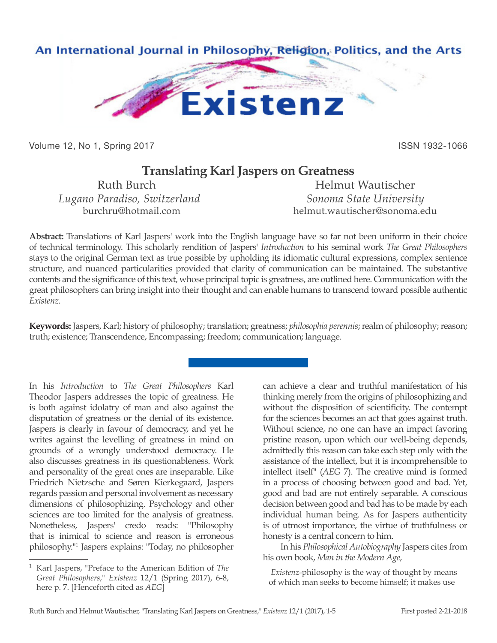

Volume 12, No 1, Spring 2017 **ISSN 1932-1066** ISSN 1932-1066

## **Translating Karl Jaspers on Greatness**

*Lugano Paradiso, Switzerland* Sonoma State University

Ruth Burch Helmut Wautischer burchru@hotmail.com helmut.wautischer@sonoma.edu

**Abstract:** Translations of Karl Jaspers' work into the English language have so far not been uniform in their choice of technical terminology. This scholarly rendition of Jaspers' *Introduction* to his seminal work *The Great Philosophers*  stays to the original German text as true possible by upholding its idiomatic cultural expressions, complex sentence structure, and nuanced particularities provided that clarity of communication can be maintained. The substantive contents and the significance of this text, whose principal topic is greatness, are outlined here. Communication with the great philosophers can bring insight into their thought and can enable humans to transcend toward possible authentic *Existenz*.

**Keywords:** Jaspers, Karl; history of philosophy; translation; greatness; *philosophia perennis*; realm of philosophy; reason; truth; existence; Transcendence, Encompassing; freedom; communication; language.

In his *Introduction* to *The Great Philosophers* Karl Theodor Jaspers addresses the topic of greatness. He is both against idolatry of man and also against the disputation of greatness or the denial of its existence. Jaspers is clearly in favour of democracy, and yet he writes against the levelling of greatness in mind on grounds of a wrongly understood democracy. He also discusses greatness in its questionableness. Work and personality of the great ones are inseparable. Like Friedrich Nietzsche and Søren Kierkegaard, Jaspers regards passion and personal involvement as necessary dimensions of philosophizing. Psychology and other sciences are too limited for the analysis of greatness. Nonetheless, Jaspers' credo reads: "Philosophy that is inimical to science and reason is erroneous philosophy."1 Jaspers explains: "Today, no philosopher

can achieve a clear and truthful manifestation of his thinking merely from the origins of philosophizing and without the disposition of scientificity. The contempt for the sciences becomes an act that goes against truth. Without science, no one can have an impact favoring pristine reason, upon which our well-being depends, admittedly this reason can take each step only with the assistance of the intellect, but it is incomprehensible to intellect itself" (*AEG* 7). The creative mind is formed in a process of choosing between good and bad. Yet, good and bad are not entirely separable. A conscious decision between good and bad has to be made by each individual human being. As for Jaspers authenticity is of utmost importance, the virtue of truthfulness or honesty is a central concern to him.

In his *Philosophical Autobiography* Jaspers cites from his own book, *Man in the Modern Age*,

*Existenz*-philosophy is the way of thought by means of which man seeks to become himself; it makes use

<sup>1</sup> Karl Jaspers, "Preface to the American Edition of *The Great Philosophers*," *Existenz* 12/1 (Spring 2017), 6-8, here p. 7. [Henceforth cited as *AEG*]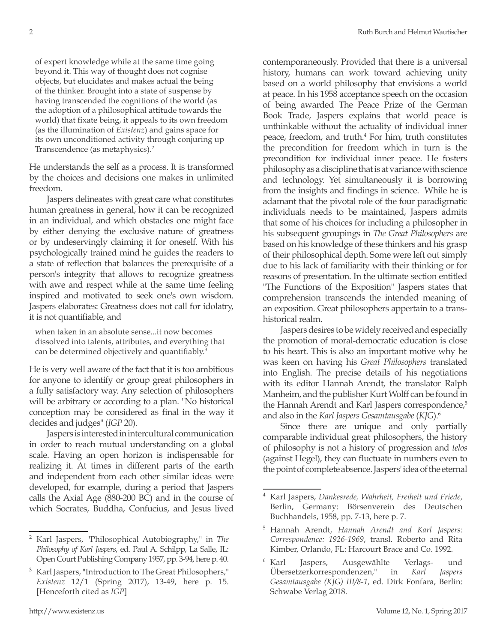of expert knowledge while at the same time going beyond it. This way of thought does not cognise objects, but elucidates and makes actual the being of the thinker. Brought into a state of suspense by having transcended the cognitions of the world (as the adoption of a philosophical attitude towards the world) that fixate being, it appeals to its own freedom (as the illumination of *Existenz*) and gains space for its own unconditioned activity through conjuring up Transcendence (as metaphysics).2

He understands the self as a process. It is transformed by the choices and decisions one makes in unlimited freedom.

Jaspers delineates with great care what constitutes human greatness in general, how it can be recognized in an individual, and which obstacles one might face by either denying the exclusive nature of greatness or by undeservingly claiming it for oneself. With his psychologically trained mind he guides the readers to a state of reflection that balances the prerequisite of a person's integrity that allows to recognize greatness with awe and respect while at the same time feeling inspired and motivated to seek one's own wisdom. Jaspers elaborates: Greatness does not call for idolatry, it is not quantifiable, and

when taken in an absolute sense...it now becomes dissolved into talents, attributes, and everything that can be determined objectively and quantifiably.<sup>3</sup>

He is very well aware of the fact that it is too ambitious for anyone to identify or group great philosophers in a fully satisfactory way. Any selection of philosophers will be arbitrary or according to a plan. "No historical conception may be considered as final in the way it decides and judges" (*IGP* 20).

Jaspers is interested in intercultural communication in order to reach mutual understanding on a global scale. Having an open horizon is indispensable for realizing it. At times in different parts of the earth and independent from each other similar ideas were developed, for example, during a period that Jaspers calls the Axial Age (880-200 BC) and in the course of which Socrates, Buddha, Confucius, and Jesus lived contemporaneously. Provided that there is a universal history, humans can work toward achieving unity based on a world philosophy that envisions a world at peace. In his 1958 acceptance speech on the occasion of being awarded The Peace Prize of the German Book Trade, Jaspers explains that world peace is unthinkable without the actuality of individual inner peace, freedom, and truth.<sup>4</sup> For him, truth constitutes the precondition for freedom which in turn is the precondition for individual inner peace. He fosters philosophy as a discipline that is at variance with science and technology. Yet simultaneously it is borrowing from the insights and findings in science. While he is adamant that the pivotal role of the four paradigmatic individuals needs to be maintained, Jaspers admits that some of his choices for including a philosopher in his subsequent groupings in *The Great Philosophers* are based on his knowledge of these thinkers and his grasp of their philosophical depth. Some were left out simply due to his lack of familiarity with their thinking or for reasons of presentation. In the ultimate section entitled "The Functions of the Exposition" Jaspers states that comprehension transcends the intended meaning of an exposition. Great philosophers appertain to a transhistorical realm.

Jaspers desires to be widely received and especially the promotion of moral-democratic education is close to his heart. This is also an important motive why he was keen on having his *Great Philosophers* translated into English. The precise details of his negotiations with its editor Hannah Arendt, the translator Ralph Manheim, and the publisher Kurt Wolff can be found in the Hannah Arendt and Karl Jaspers correspondence,<sup>5</sup> and also in the *Karl Jaspers Gesamtausgabe* (*KJG*).6

Since there are unique and only partially comparable individual great philosophers, the history of philosophy is not a history of progression and *telos*  (against Hegel), they can fluctuate in numbers even to the point of complete absence. Jaspers' idea of the eternal

<sup>2</sup> Karl Jaspers, "Philosophical Autobiography," in *The Philosophy of Karl Jaspers*, ed. Paul A. Schilpp, La Salle, IL: Open Court Publishing Company 1957, pp. 3-94, here p. 40.

<sup>3</sup> Karl Jaspers, "Introduction to The Great Philosophers," *Existenz* 12/1 (Spring 2017), 13-49, here p. 15. [Henceforth cited as *IGP*]

<sup>4</sup> Karl Jaspers, *Dankesrede, Wahrheit, Freiheit und Friede*, Berlin, Germany: Börsenverein des Deutschen Buchhandels, 1958, pp. 7-13, here p. 7.

<sup>5</sup> Hannah Arendt, *Hannah Arendt and Karl Jaspers: Correspondence: 1926-1969*, transl. Roberto and Rita Kimber, Orlando, FL: Harcourt Brace and Co. 1992.

<sup>6</sup> Karl Jaspers, Ausgewählte Verlags- und Übersetzerkorrespondenzen," in *Karl Jaspers Gesamtausgabe (KJG) III/8-1*, ed. Dirk Fonfara, Berlin: Schwabe Verlag 2018.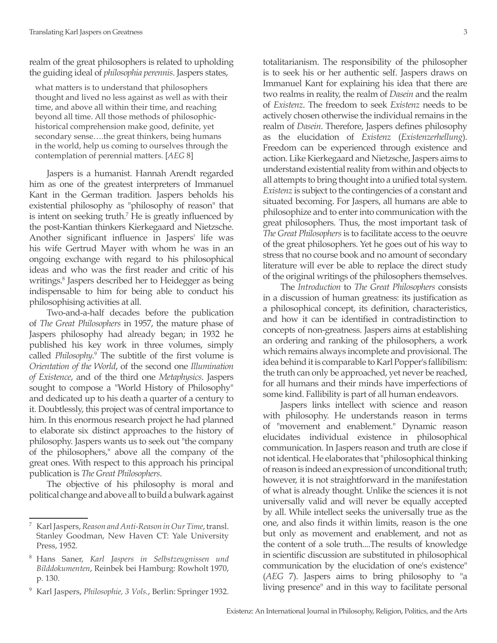realm of the great philosophers is related to upholding the guiding ideal of *philosophia perennis*. Jaspers states,

what matters is to understand that philosophers thought and lived no less against as well as with their time, and above all within their time, and reaching beyond all time. All those methods of philosophichistorical comprehension make good, definite, yet secondary sense….the great thinkers, being humans in the world, help us coming to ourselves through the contemplation of perennial matters. [*AEG* 8]

Jaspers is a humanist. Hannah Arendt regarded him as one of the greatest interpreters of Immanuel Kant in the German tradition. Jaspers beholds his existential philosophy as "philosophy of reason" that is intent on seeking truth.7 He is greatly influenced by the post-Kantian thinkers Kierkegaard and Nietzsche. Another significant influence in Jaspers' life was his wife Gertrud Mayer with whom he was in an ongoing exchange with regard to his philosophical ideas and who was the first reader and critic of his writings.<sup>8</sup> Jaspers described her to Heidegger as being indispensable to him for being able to conduct his philosophising activities at all.

Two-and-a-half decades before the publication of *The Great Philosophers* in 1957, the mature phase of Jaspers philosophy had already began; in 1932 he published his key work in three volumes, simply called *Philosophy*. 9 The subtitle of the first volume is *Orientation of the World*, of the second one *Illumination of Existence*, and of the third one *Metaphysics*. Jaspers sought to compose a "World History of Philosophy" and dedicated up to his death a quarter of a century to it. Doubtlessly, this project was of central importance to him. In this enormous research project he had planned to elaborate six distinct approaches to the history of philosophy. Jaspers wants us to seek out "the company of the philosophers," above all the company of the great ones. With respect to this approach his principal publication is *The Great Philosophers*.

The objective of his philosophy is moral and political change and above all to build a bulwark against

<sup>9</sup> Karl Jaspers, *Philosophie, 3 Vols.*, Berlin: Springer 1932.

totalitarianism. The responsibility of the philosopher is to seek his or her authentic self. Jaspers draws on Immanuel Kant for explaining his idea that there are two realms in reality, the realm of *Dasein* and the realm of *Existenz*. The freedom to seek *Existenz* needs to be actively chosen otherwise the individual remains in the realm of *Dasein*. Therefore, Jaspers defines philosophy as the elucidation of *Existenz* (*Existenzerhellung*). Freedom can be experienced through existence and action. Like Kierkegaard and Nietzsche, Jaspers aims to understand existential reality from within and objects to all attempts to bring thought into a unified total system. *Existenz* is subject to the contingencies of a constant and situated becoming. For Jaspers, all humans are able to philosophize and to enter into communication with the great philosophers. Thus, the most important task of *The Great Philosophers* is to facilitate access to the oeuvre of the great philosophers. Yet he goes out of his way to stress that no course book and no amount of secondary literature will ever be able to replace the direct study of the original writings of the philosophers themselves.

The *Introduction* to *The Great Philosophers* consists in a discussion of human greatness: its justification as a philosophical concept, its definition, characteristics, and how it can be identified in contradistinction to concepts of non-greatness. Jaspers aims at establishing an ordering and ranking of the philosophers, a work which remains always incomplete and provisional. The idea behind it is comparable to Karl Popper's fallibilism: the truth can only be approached, yet never be reached, for all humans and their minds have imperfections of some kind. Fallibility is part of all human endeavors.

Jaspers links intellect with science and reason with philosophy. He understands reason in terms of "movement and enablement." Dynamic reason elucidates individual existence in philosophical communication. In Jaspers reason and truth are close if not identical. He elaborates that "philosophical thinking of reason is indeed an expression of unconditional truth; however, it is not straightforward in the manifestation of what is already thought. Unlike the sciences it is not universally valid and will never be equally accepted by all. While intellect seeks the universally true as the one, and also finds it within limits, reason is the one but only as movement and enablement, and not as the content of a sole truth....The results of knowledge in scientific discussion are substituted in philosophical communication by the elucidation of one's existence" (*AEG* 7). Jaspers aims to bring philosophy to "a living presence" and in this way to facilitate personal

<sup>7</sup> Karl Jaspers, *Reason and Anti-Reason in Our Time*, transl. Stanley Goodman, New Haven CT: Yale University Press, 1952.

<sup>8</sup> Hans Saner, *Karl Jaspers in Selbstzeugnissen und Bilddokumenten*, Reinbek bei Hamburg: Rowholt 1970, p. 130.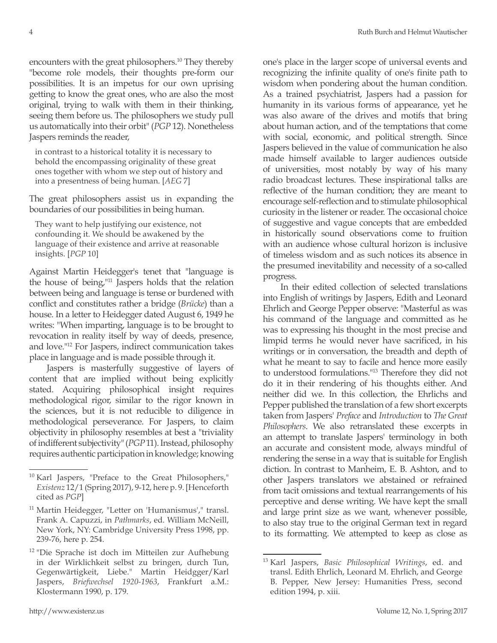encounters with the great philosophers.10 They thereby "become role models, their thoughts pre-form our possibilities. It is an impetus for our own uprising getting to know the great ones, who are also the most original, trying to walk with them in their thinking, seeing them before us. The philosophers we study pull us automatically into their orbit" (*PGP* 12). Nonetheless Jaspers reminds the reader,

in contrast to a historical totality it is necessary to behold the encompassing originality of these great ones together with whom we step out of history and into a presentness of being human. [*AEG* 7]

The great philosophers assist us in expanding the boundaries of our possibilities in being human.

They want to help justifying our existence, not confounding it. We should be awakened by the language of their existence and arrive at reasonable insights. [*PGP* 10]

Against Martin Heidegger's tenet that "language is the house of being,"11 Jaspers holds that the relation between being and language is tense or burdened with conflict and constitutes rather a bridge (*Brücke*) than a house. In a letter to Heidegger dated August 6, 1949 he writes: "When imparting, language is to be brought to revocation in reality itself by way of deeds, presence, and love."12 For Jaspers, indirect communication takes place in language and is made possible through it.

Jaspers is masterfully suggestive of layers of content that are implied without being explicitly stated. Acquiring philosophical insight requires methodological rigor, similar to the rigor known in the sciences, but it is not reducible to diligence in methodological perseverance. For Jaspers, to claim objectivity in philosophy resembles at best a "triviality of indifferent subjectivity" (*PGP* 11). Instead, philosophy requires authentic participation in knowledge; knowing

one's place in the larger scope of universal events and recognizing the infinite quality of one's finite path to wisdom when pondering about the human condition. As a trained psychiatrist, Jaspers had a passion for humanity in its various forms of appearance, yet he was also aware of the drives and motifs that bring about human action, and of the temptations that come with social, economic, and political strength. Since Jaspers believed in the value of communication he also made himself available to larger audiences outside of universities, most notably by way of his many radio broadcast lectures. These inspirational talks are reflective of the human condition; they are meant to encourage self-reflection and to stimulate philosophical curiosity in the listener or reader. The occasional choice of suggestive and vague concepts that are embedded in historically sound observations come to fruition with an audience whose cultural horizon is inclusive of timeless wisdom and as such notices its absence in the presumed inevitability and necessity of a so-called progress.

In their edited collection of selected translations into English of writings by Jaspers, Edith and Leonard Ehrlich and George Pepper observe: "Masterful as was his command of the language and committed as he was to expressing his thought in the most precise and limpid terms he would never have sacrificed, in his writings or in conversation, the breadth and depth of what he meant to say to facile and hence more easily to understood formulations."13 Therefore they did not do it in their rendering of his thoughts either. And neither did we. In this collection, the Ehrlichs and Pepper published the translation of a few short excerpts taken from Jaspers' *Preface* and *Introduction* to *The Great Philosophers*. We also retranslated these excerpts in an attempt to translate Jaspers' terminology in both an accurate and consistent mode, always mindful of rendering the sense in a way that is suitable for English diction. In contrast to Manheim, E. B. Ashton, and to other Jaspers translators we abstained or refrained from tacit omissions and textual rearrangements of his perceptive and dense writing. We have kept the small and large print size as we want, whenever possible, to also stay true to the original German text in regard to its formatting. We attempted to keep as close as

<sup>10</sup> Karl Jaspers, "Preface to the Great Philosophers," *Existenz* 12/1 (Spring 2017), 9-12, here p. 9. [Henceforth cited as *PGP*]

<sup>&</sup>lt;sup>11</sup> Martin Heidegger, "Letter on 'Humanismus'," transl. Frank A. Capuzzi, in *Pathmarks*, ed. William McNeill, New York, NY: Cambridge University Press 1998, pp. 239-76, here p. 254.

<sup>&</sup>lt;sup>12</sup> "Die Sprache ist doch im Mitteilen zur Aufhebung in der Wirklichkeit selbst zu bringen, durch Tun, Gegenwärtigkeit, Liebe." Martin Heidgger/Karl Jaspers, *Briefwechsel 1920-1963*, Frankfurt a.M.: Klostermann 1990, p. 179.

<sup>13</sup> Karl Jaspers, *Basic Philosophical Writings*, ed. and transl. Edith Ehrlich, Leonard M. Ehrlich, and George B. Pepper, New Jersey: Humanities Press, second edition 1994, p. xiii.